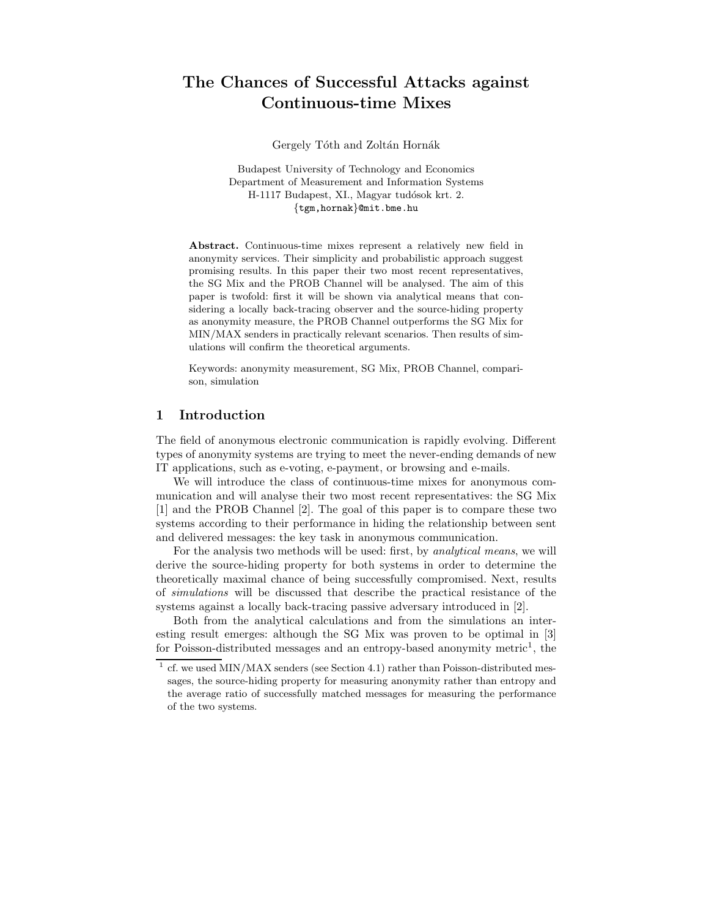# **The Chances of Successful Attacks against Continuous-time Mixes**

Gergely Tóth and Zoltán Hornák

Budapest University of Technology and Economics Department of Measurement and Information Systems H-1117 Budapest, XI., Magyar tudósok krt. 2. {tgm,hornak}@mit.bme.hu

**Abstract.** Continuous-time mixes represent a relatively new field in anonymity services. Their simplicity and probabilistic approach suggest promising results. In this paper their two most recent representatives, the SG Mix and the PROB Channel will be analysed. The aim of this paper is twofold: first it will be shown via analytical means that considering a locally back-tracing observer and the source-hiding property as anonymity measure, the PROB Channel outperforms the SG Mix for MIN/MAX senders in practically relevant scenarios. Then results of simulations will confirm the theoretical arguments.

Keywords: anonymity measurement, SG Mix, PROB Channel, comparison, simulation

# **1 Introduction**

The field of anonymous electronic communication is rapidly evolving. Different types of anonymity systems are trying to meet the never-ending demands of new IT applications, such as e-voting, e-payment, or browsing and e-mails.

We will introduce the class of continuous-time mixes for anonymous communication and will analyse their two most recent representatives: the SG Mix [1] and the PROB Channel [2]. The goal of this paper is to compare these two systems according to their performance in hiding the relationship between sent and delivered messages: the key task in anonymous communication.

For the analysis two methods will be used: first, by *analytical means*, we will derive the source-hiding property for both systems in order to determine the theoretically maximal chance of being successfully compromised. Next, results of *simulations* will be discussed that describe the practical resistance of the systems against a locally back-tracing passive adversary introduced in [2].

Both from the analytical calculations and from the simulations an interesting result emerges: although the SG Mix was proven to be optimal in [3] for Poisson-distributed messages and an entropy-based anonymity metric<sup>1</sup>, the

 $1$  cf. we used MIN/MAX senders (see Section 4.1) rather than Poisson-distributed messages, the source-hiding property for measuring anonymity rather than entropy and the average ratio of successfully matched messages for measuring the performance of the two systems.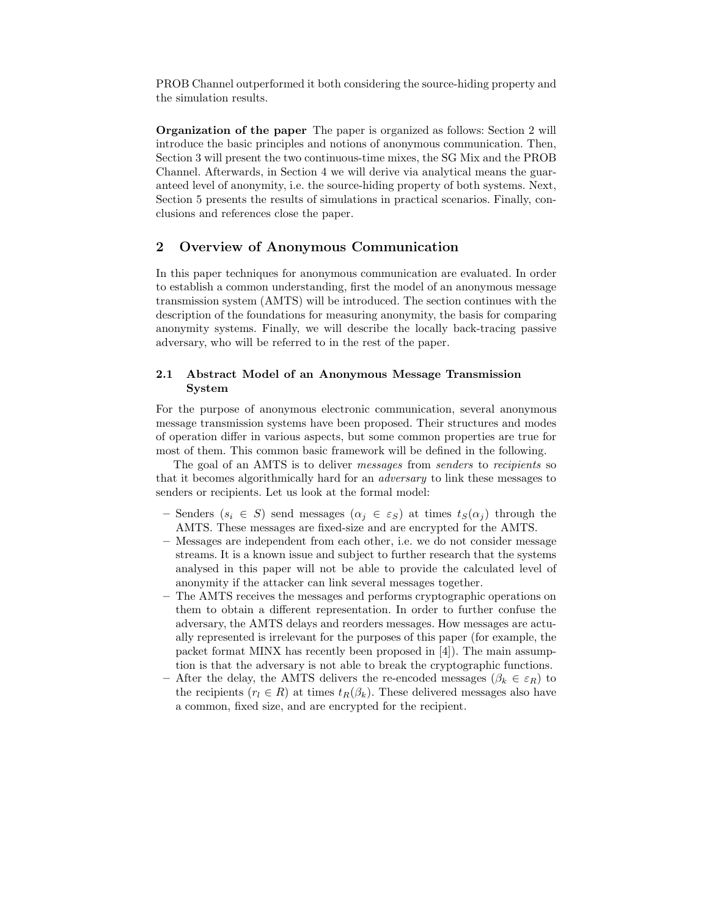PROB Channel outperformed it both considering the source-hiding property and the simulation results.

**Organization of the paper** The paper is organized as follows: Section 2 will introduce the basic principles and notions of anonymous communication. Then, Section 3 will present the two continuous-time mixes, the SG Mix and the PROB Channel. Afterwards, in Section 4 we will derive via analytical means the guaranteed level of anonymity, i.e. the source-hiding property of both systems. Next, Section 5 presents the results of simulations in practical scenarios. Finally, conclusions and references close the paper.

# **2 Overview of Anonymous Communication**

In this paper techniques for anonymous communication are evaluated. In order to establish a common understanding, first the model of an anonymous message transmission system (AMTS) will be introduced. The section continues with the description of the foundations for measuring anonymity, the basis for comparing anonymity systems. Finally, we will describe the locally back-tracing passive adversary, who will be referred to in the rest of the paper.

# **2.1 Abstract Model of an Anonymous Message Transmission System**

For the purpose of anonymous electronic communication, several anonymous message transmission systems have been proposed. Their structures and modes of operation differ in various aspects, but some common properties are true for most of them. This common basic framework will be defined in the following.

The goal of an AMTS is to deliver *messages* from *senders* to *recipients* so that it becomes algorithmically hard for an *adversary* to link these messages to senders or recipients. Let us look at the formal model:

- **–** Senders  $(s_i \in S)$  send messages  $(\alpha_j \in \varepsilon_S)$  at times  $t_S(\alpha_j)$  through the AMTS. These messages are fixed-size and are encrypted for the AMTS.
- **–** Messages are independent from each other, i.e. we do not consider message streams. It is a known issue and subject to further research that the systems analysed in this paper will not be able to provide the calculated level of anonymity if the attacker can link several messages together.
- **–** The AMTS receives the messages and performs cryptographic operations on them to obtain a different representation. In order to further confuse the adversary, the AMTS delays and reorders messages. How messages are actually represented is irrelevant for the purposes of this paper (for example, the packet format MINX has recently been proposed in [4]). The main assumption is that the adversary is not able to break the cryptographic functions.
- After the delay, the AMTS delivers the re-encoded messages  $(\beta_k \in \varepsilon_R)$  to the recipients  $(r_l \in R)$  at times  $t_R(\beta_k)$ . These delivered messages also have a common, fixed size, and are encrypted for the recipient.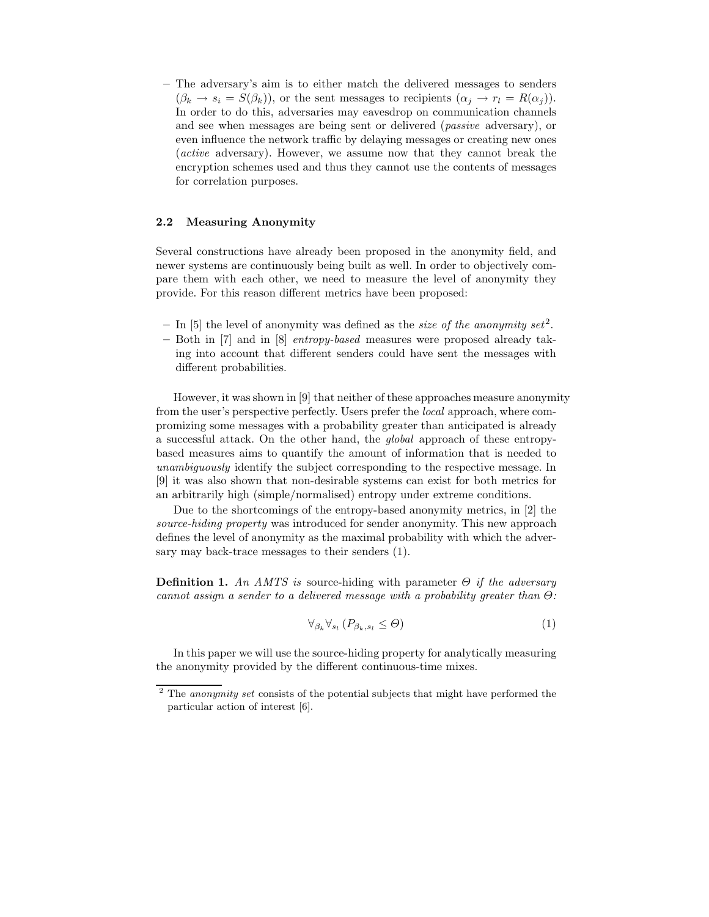**–** The adversary's aim is to either match the delivered messages to senders  $(\beta_k \to s_i = S(\beta_k))$ , or the sent messages to recipients  $(\alpha_i \to r_l = R(\alpha_i))$ . In order to do this, adversaries may eavesdrop on communication channels and see when messages are being sent or delivered (*passive* adversary), or even influence the network traffic by delaying messages or creating new ones (*active* adversary). However, we assume now that they cannot break the encryption schemes used and thus they cannot use the contents of messages for correlation purposes.

## **2.2 Measuring Anonymity**

Several constructions have already been proposed in the anonymity field, and newer systems are continuously being built as well. In order to objectively compare them with each other, we need to measure the level of anonymity they provide. For this reason different metrics have been proposed:

- **–** In [5] the level of anonymity was defined as the *size of the anonymity set*<sup>2</sup>.
- **–** Both in [7] and in [8] *entropy-based* measures were proposed already taking into account that different senders could have sent the messages with different probabilities.

However, it was shown in [9] that neither of these approaches measure anonymity from the user's perspective perfectly. Users prefer the *local* approach, where compromizing some messages with a probability greater than anticipated is already a successful attack. On the other hand, the *global* approach of these entropybased measures aims to quantify the amount of information that is needed to *unambiguously* identify the subject corresponding to the respective message. In [9] it was also shown that non-desirable systems can exist for both metrics for an arbitrarily high (simple/normalised) entropy under extreme conditions.

Due to the shortcomings of the entropy-based anonymity metrics, in [2] the *source-hiding property* was introduced for sender anonymity. This new approach defines the level of anonymity as the maximal probability with which the adversary may back-trace messages to their senders (1).

**Definition 1.** *An AMTS is* source-hiding with parameter Θ *if the adversary cannot assign a sender to a delivered message with a probability greater than* Θ*:*

$$
\forall_{\beta_k} \forall_{s_l} (P_{\beta_k, s_l} \leq \Theta) \tag{1}
$$

In this paper we will use the source-hiding property for analytically measuring the anonymity provided by the different continuous-time mixes.

<sup>2</sup> The *anonymity set* consists of the potential subjects that might have performed the particular action of interest [6].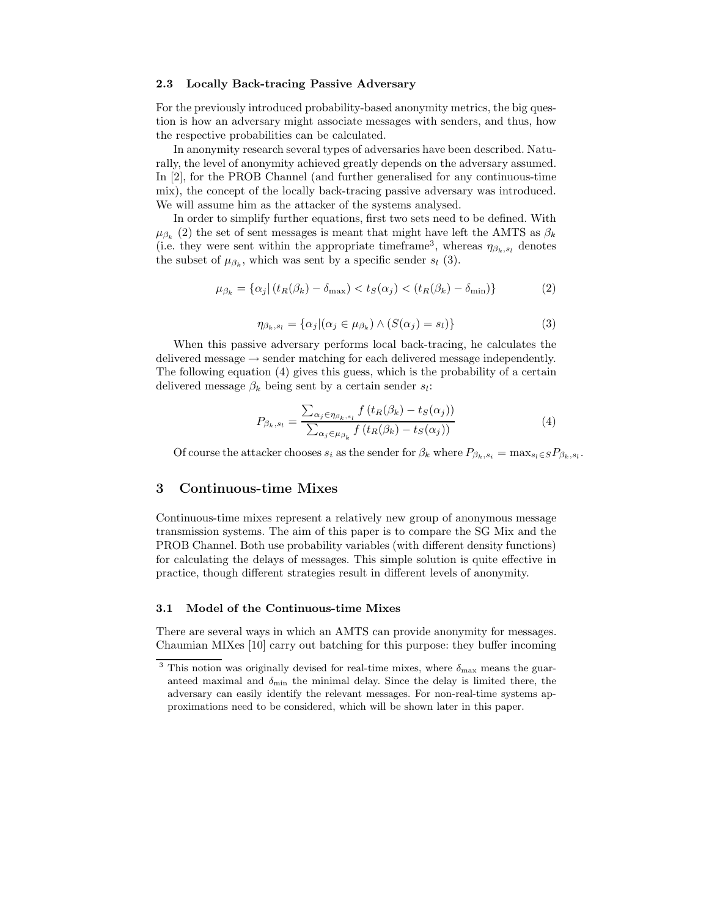#### **2.3 Locally Back-tracing Passive Adversary**

For the previously introduced probability-based anonymity metrics, the big question is how an adversary might associate messages with senders, and thus, how the respective probabilities can be calculated.

In anonymity research several types of adversaries have been described. Naturally, the level of anonymity achieved greatly depends on the adversary assumed. In [2], for the PROB Channel (and further generalised for any continuous-time mix), the concept of the locally back-tracing passive adversary was introduced. We will assume him as the attacker of the systems analysed.

In order to simplify further equations, first two sets need to be defined. With  $\mu_{\beta_k}$  (2) the set of sent messages is meant that might have left the AMTS as  $\beta_k$ (i.e. they were sent within the appropriate timeframe<sup>3</sup>, whereas  $\eta_{\beta_k, s_l}$  denotes the subset of  $\mu_{\beta_k}$ , which was sent by a specific sender  $s_l$  (3).

$$
\mu_{\beta_k} = \{ \alpha_j | (t_R(\beta_k) - \delta_{\text{max}}) < t_S(\alpha_j) < (t_R(\beta_k) - \delta_{\text{min}}) \} \tag{2}
$$

$$
\eta_{\beta_k, s_l} = \{ \alpha_j | (\alpha_j \in \mu_{\beta_k}) \land (S(\alpha_j) = s_l) \}
$$
\n(3)

When this passive adversary performs local back-tracing, he calculates the delivered message  $\rightarrow$  sender matching for each delivered message independently. The following equation (4) gives this guess, which is the probability of a certain delivered message  $\beta_k$  being sent by a certain sender  $s_l$ :

$$
P_{\beta_k, s_l} = \frac{\sum_{\alpha_j \in \eta_{\beta_k, s_l}} f(t_R(\beta_k) - t_S(\alpha_j))}{\sum_{\alpha_j \in \mu_{\beta_k}} f(t_R(\beta_k) - t_S(\alpha_j))}
$$
(4)

Of course the attacker chooses  $s_i$  as the sender for  $\beta_k$  where  $P_{\beta_k, s_i} = \max_{s_i \in S} P_{\beta_k, s_i}$ .

# **3 Continuous-time Mixes**

Continuous-time mixes represent a relatively new group of anonymous message transmission systems. The aim of this paper is to compare the SG Mix and the PROB Channel. Both use probability variables (with different density functions) for calculating the delays of messages. This simple solution is quite effective in practice, though different strategies result in different levels of anonymity.

## **3.1 Model of the Continuous-time Mixes**

There are several ways in which an AMTS can provide anonymity for messages. Chaumian MIXes [10] carry out batching for this purpose: they buffer incoming

 $^3$  This notion was originally devised for real-time mixes, where  $\delta_{\rm max}$  means the guaranteed maximal and  $\delta_{\min}$  the minimal delay. Since the delay is limited there, the adversary can easily identify the relevant messages. For non-real-time systems approximations need to be considered, which will be shown later in this paper.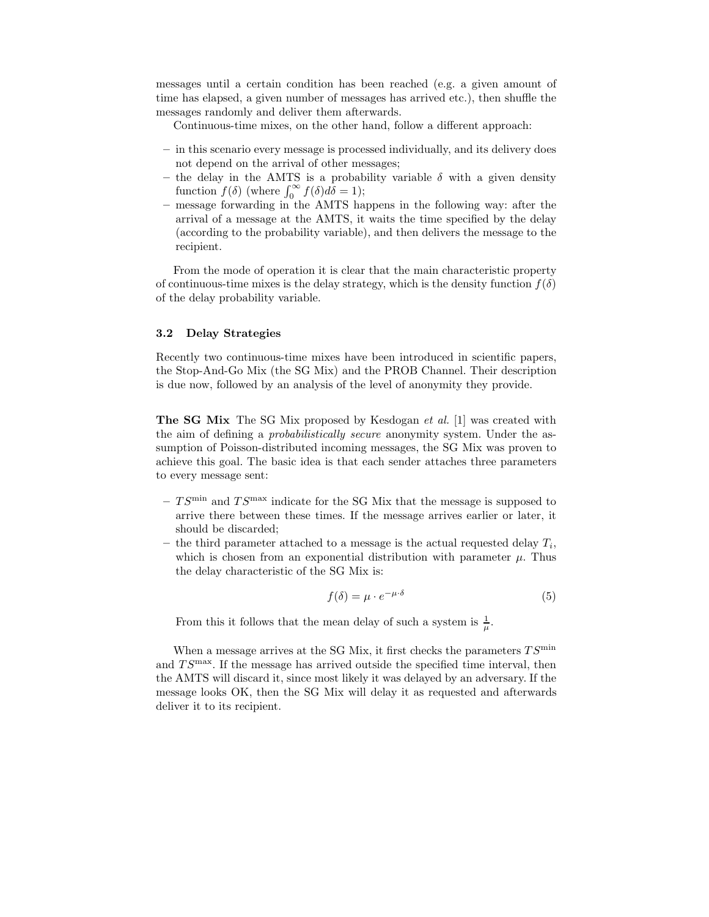messages until a certain condition has been reached (e.g. a given amount of time has elapsed, a given number of messages has arrived etc.), then shuffle the messages randomly and deliver them afterwards.

Continuous-time mixes, on the other hand, follow a different approach:

- **–** in this scenario every message is processed individually, and its delivery does not depend on the arrival of other messages;
- the delay in the AMTS is a probability variable  $\delta$  with a given density function  $f(\delta)$  (where  $\int_0^\infty f(\delta) d\delta = 1$ );
- **–** message forwarding in the AMTS happens in the following way: after the arrival of a message at the AMTS, it waits the time specified by the delay (according to the probability variable), and then delivers the message to the recipient.

From the mode of operation it is clear that the main characteristic property of continuous-time mixes is the delay strategy, which is the density function  $f(\delta)$ of the delay probability variable.

## **3.2 Delay Strategies**

Recently two continuous-time mixes have been introduced in scientific papers, the Stop-And-Go Mix (the SG Mix) and the PROB Channel. Their description is due now, followed by an analysis of the level of anonymity they provide.

**The SG Mix** The SG Mix proposed by Kesdogan *et al.* [1] was created with the aim of defining a *probabilistically secure* anonymity system. Under the assumption of Poisson-distributed incoming messages, the SG Mix was proven to achieve this goal. The basic idea is that each sender attaches three parameters to every message sent:

- $-TS^{\min}$  and  $TS^{\max}$  indicate for the SG Mix that the message is supposed to arrive there between these times. If the message arrives earlier or later, it should be discarded;
- $-$  the third parameter attached to a message is the actual requested delay  $T_i$ , which is chosen from an exponential distribution with parameter  $\mu$ . Thus the delay characteristic of the SG Mix is:

$$
f(\delta) = \mu \cdot e^{-\mu \cdot \delta} \tag{5}
$$

From this it follows that the mean delay of such a system is  $\frac{1}{\mu}$ .

When a message arrives at the SG Mix, it first checks the parameters  $TS^{\min}$ and  $TS^{\max}$ . If the message has arrived outside the specified time interval, then the AMTS will discard it, since most likely it was delayed by an adversary. If the message looks OK, then the SG Mix will delay it as requested and afterwards deliver it to its recipient.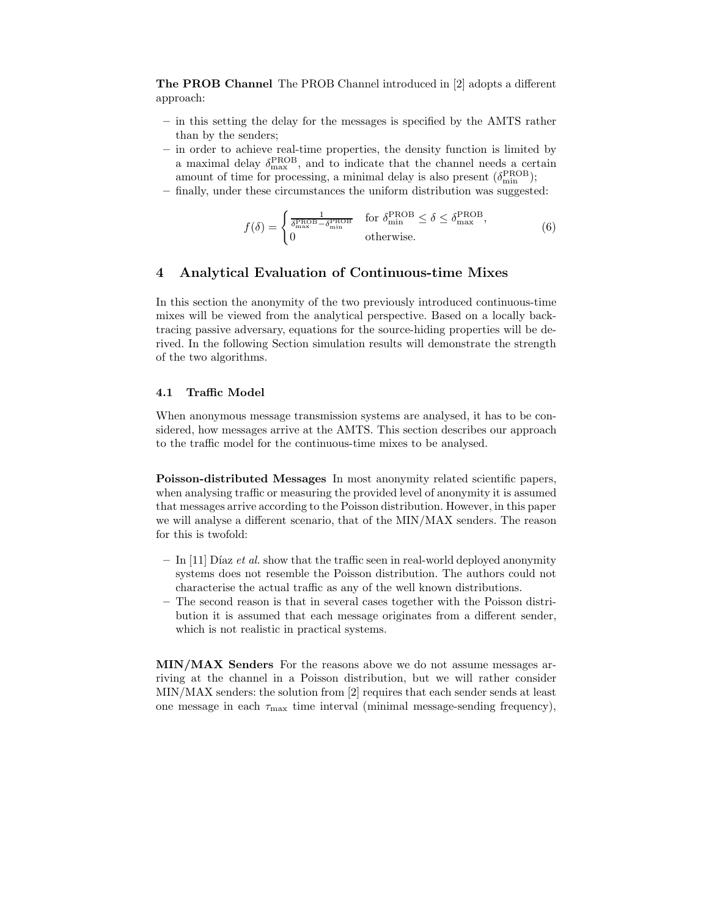**The PROB Channel** The PROB Channel introduced in [2] adopts a different approach:

- **–** in this setting the delay for the messages is specified by the AMTS rather than by the senders;
- **–** in order to achieve real-time properties, the density function is limited by a maximal delay  $\delta_{\max}^{\text{PROB}}$ , and to indicate that the channel needs a certain amount of time for processing, a minimal delay is also present  $(\delta_{\min}^{\text{PROB}})$ ;
- **–** finally, under these circumstances the uniform distribution was suggested:

$$
f(\delta) = \begin{cases} \frac{1}{\delta_{\max}^{\text{PROB}} - \delta_{\min}^{\text{PROB}}} & \text{for } \delta_{\min}^{\text{PROB}} \le \delta \le \delta_{\max}^{\text{PROB}},\\ 0 & \text{otherwise.} \end{cases}
$$
(6)

# **4 Analytical Evaluation of Continuous-time Mixes**

In this section the anonymity of the two previously introduced continuous-time mixes will be viewed from the analytical perspective. Based on a locally backtracing passive adversary, equations for the source-hiding properties will be derived. In the following Section simulation results will demonstrate the strength of the two algorithms.

### **4.1 Traffic Model**

When anonymous message transmission systems are analysed, it has to be considered, how messages arrive at the AMTS. This section describes our approach to the traffic model for the continuous-time mixes to be analysed.

**Poisson-distributed Messages** In most anonymity related scientific papers, when analysing traffic or measuring the provided level of anonymity it is assumed that messages arrive according to the Poisson distribution. However, in this paper we will analyse a different scenario, that of the MIN/MAX senders. The reason for this is twofold:

- In [11] Díaz *et al.* show that the traffic seen in real-world deployed anonymity systems does not resemble the Poisson distribution. The authors could not characterise the actual traffic as any of the well known distributions.
- **–** The second reason is that in several cases together with the Poisson distribution it is assumed that each message originates from a different sender, which is not realistic in practical systems.

**MIN/MAX Senders** For the reasons above we do not assume messages arriving at the channel in a Poisson distribution, but we will rather consider MIN/MAX senders: the solution from [2] requires that each sender sends at least one message in each  $\tau_{\text{max}}$  time interval (minimal message-sending frequency),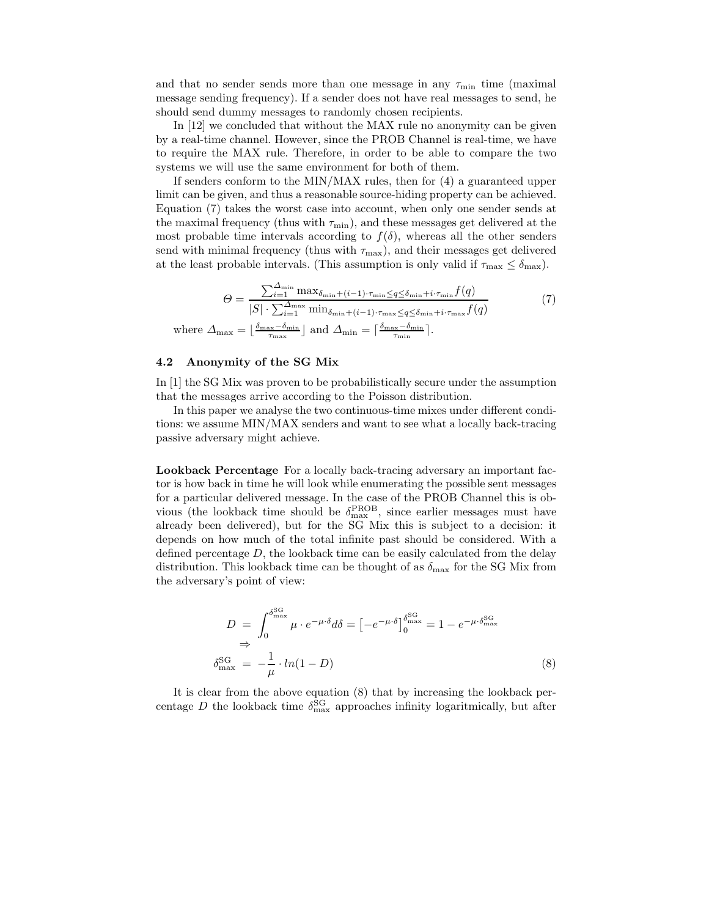and that no sender sends more than one message in any  $\tau_{\rm min}$  time (maximal message sending frequency). If a sender does not have real messages to send, he should send dummy messages to randomly chosen recipients.

In [12] we concluded that without the MAX rule no anonymity can be given by a real-time channel. However, since the PROB Channel is real-time, we have to require the MAX rule. Therefore, in order to be able to compare the two systems we will use the same environment for both of them.

If senders conform to the MIN/MAX rules, then for (4) a guaranteed upper limit can be given, and thus a reasonable source-hiding property can be achieved. Equation (7) takes the worst case into account, when only one sender sends at the maximal frequency (thus with  $\tau_{\min}$ ), and these messages get delivered at the most probable time intervals according to  $f(\delta)$ , whereas all the other senders send with minimal frequency (thus with  $\tau_{\text{max}}$ ), and their messages get delivered at the least probable intervals. (This assumption is only valid if  $\tau_{\text{max}} \leq \delta_{\text{max}}$ ).

$$
\Theta = \frac{\sum_{i=1}^{\Delta_{\min}} \max_{\delta_{\min} + (i-1) \cdot \tau_{\min} \le q \le \delta_{\min} + i \cdot \tau_{\min}} f(q)}{|S| \cdot \sum_{i=1}^{\Delta_{\max}} \min_{\delta_{\min} + (i-1) \cdot \tau_{\max} \le q \le \delta_{\min} + i \cdot \tau_{\max}} f(q)}
$$
(7)  
where  $\Delta_{\max} = \lfloor \frac{\delta_{\max} - \delta_{\min}}{\tau_{\max}} \rfloor$  and  $\Delta_{\min} = \lceil \frac{\delta_{\max} - \delta_{\min}}{\tau_{\min}} \rceil$ .

#### **4.2 Anonymity of the SG Mix**

In [1] the SG Mix was proven to be probabilistically secure under the assumption that the messages arrive according to the Poisson distribution.

In this paper we analyse the two continuous-time mixes under different conditions: we assume MIN/MAX senders and want to see what a locally back-tracing passive adversary might achieve.

**Lookback Percentage** For a locally back-tracing adversary an important factor is how back in time he will look while enumerating the possible sent messages for a particular delivered message. In the case of the PROB Channel this is obvious (the lookback time should be  $\delta_{\max}^{\text{PROB}}$ , since earlier messages must have already been delivered), but for the SG Mix this is subject to a decision: it depends on how much of the total infinite past should be considered. With a defined percentage  $D$ , the lookback time can be easily calculated from the delay distribution. This lookback time can be thought of as  $\delta_{\text{max}}$  for the SG Mix from the adversary's point of view:

$$
D = \int_0^{\delta_{\text{max}}^{\text{SG}}} \mu \cdot e^{-\mu \cdot \delta} d\delta = \left[ -e^{-\mu \cdot \delta} \right]_0^{\delta_{\text{max}}^{\text{SG}}} = 1 - e^{-\mu \cdot \delta_{\text{max}}^{\text{SG}}} \n\Rightarrow \delta_{\text{max}}^{\text{SG}} = -\frac{1}{\mu} \cdot \ln(1 - D)
$$
\n(8)

It is clear from the above equation (8) that by increasing the lookback percentage D the lookback time  $\delta_{\text{max}}^{\text{SG}}$  approaches infinity logaritmically, but after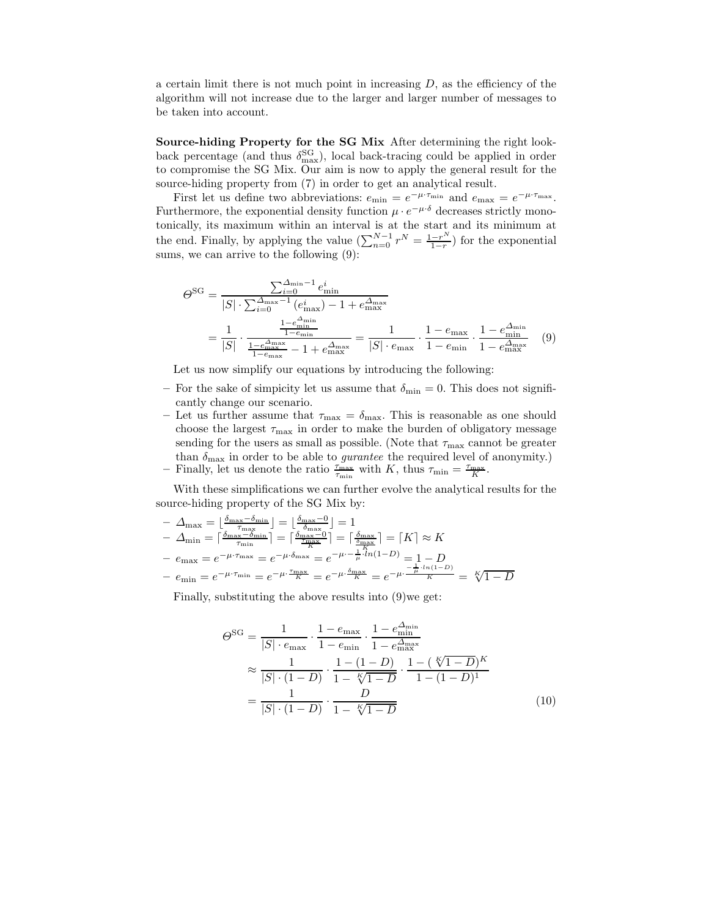a certain limit there is not much point in increasing  $D$ , as the efficiency of the algorithm will not increase due to the larger and larger number of messages to be taken into account.

**Source-hiding Property for the SG Mix** After determining the right lookback percentage (and thus  $\delta_{\text{max}}^{\text{SG}}$ ), local back-tracing could be applied in order to compromise the SG Mix. Our aim is now to apply the general result for the source-hiding property from (7) in order to get an analytical result.

First let us define two abbreviations:  $e_{\min} = e^{-\mu \cdot \tau_{\min}}$  and  $e_{\max} = e^{-\mu \cdot \tau_{\max}}$ . Furthermore, the exponential density function  $\mu \cdot e^{-\mu \cdot \delta}$  decreases strictly monotonically, its maximum within an interval is at the start and its minimum at the end. Finally, by applying the value  $(\sum_{n=0}^{N-1} r^N = \frac{1-r^N}{1-r})$  for the exponential sums, we can arrive to the following  $(9)$ :

$$
\Theta^{\text{SG}} = \frac{\sum_{i=0}^{\Delta_{\min}} -1} {S! \cdot \sum_{i=0}^{\Delta_{\max}} -1} e_{\min}^i
$$
\n
$$
= \frac{1}{|S|} \cdot \frac{\frac{1 - e_{\min}^{\Delta_{\min}}}{1 - e_{\min}}}{\frac{1 - e_{\min}^{\Delta_{\min}}}{1 - e_{\max}} - 1} = \frac{1}{|S| \cdot e_{\max}} \cdot \frac{1 - e_{\max}^{\Delta_{\min}}}{1 - e_{\max}} \cdot \frac{1 - e_{\min}^{\Delta_{\min}}}{1 - e_{\max}^{\Delta_{\max}}} \quad (9)
$$

Let us now simplify our equations by introducing the following:

- For the sake of simplicity let us assume that  $\delta_{\min} = 0$ . This does not significantly change our scenario.
- Let us further assume that  $\tau_{\text{max}} = \delta_{\text{max}}$ . This is reasonable as one should choose the largest  $\tau_{\text{max}}$  in order to make the burden of obligatory message sending for the users as small as possible. (Note that  $\tau_{\text{max}}$  cannot be greater than  $\delta_{\text{max}}$  in order to be able to *gurantee* the required level of anonymity.) **–** Finally, let us denote the ratio  $\frac{\tau_{\text{max}}}{\tau_{\text{min}}}$  with K, thus  $\tau_{\text{min}} = \frac{\tau_{\text{max}}}{K}$ .

With these simplifications we can further evolve the analytical results for the source-hiding property of the SG Mix by:

$$
- \Delta_{\max} = \left\lfloor \frac{\delta_{\max} - \delta_{\min}}{\tau_{\max}} \right\rfloor = \left\lfloor \frac{\delta_{\max} - 0}{\delta_{\max}} \right\rfloor = 1
$$
  
- 
$$
\Delta_{\min} = \left\lceil \frac{\delta_{\max} - \delta_{\min}}{\tau_{\min}} \right\rceil = \left\lceil \frac{\delta_{\max} - 0}{K} \right\rceil = \left\lceil \frac{\delta_{\max}}{\frac{K}{K}} \right\rceil = \left\lceil K \right\rceil \approx K
$$
  
- 
$$
e_{\max} = e^{-\mu \cdot \tau_{\max}} = e^{-\mu \cdot \delta_{\max}} = e^{-\mu \cdot - \frac{1}{\mu} \cdot ln(1 - D)} = 1 - D
$$
  
- 
$$
e_{\min} = e^{-\mu \cdot \tau_{\min}} = e^{-\mu \cdot \frac{\tau_{\max}}{K}} = e^{-\mu \cdot \frac{\delta_{\max}}{K}} = e^{-\mu \cdot \frac{-\frac{1}{\mu} \cdot ln(1 - D)}{K}} = \sqrt[K]{1 - D}
$$

Finally, substituting the above results into (9)we get:

$$
\Theta^{\text{SG}} = \frac{1}{|S| \cdot e_{\text{max}}} \cdot \frac{1 - e_{\text{min}}}{1 - e_{\text{min}}} \cdot \frac{1 - e_{\text{min}}^{\Delta_{\text{min}}}}{1 - e_{\text{max}}^{\Delta_{\text{max}}}}
$$
\n
$$
\approx \frac{1}{|S| \cdot (1 - D)} \cdot \frac{1 - (1 - D)}{1 - \sqrt[r]{1 - D}} \cdot \frac{1 - (\sqrt[r]{1 - D})^K}{1 - (1 - D)^1}
$$
\n
$$
= \frac{1}{|S| \cdot (1 - D)} \cdot \frac{D}{1 - \sqrt[r]{1 - D}}
$$
\n(10)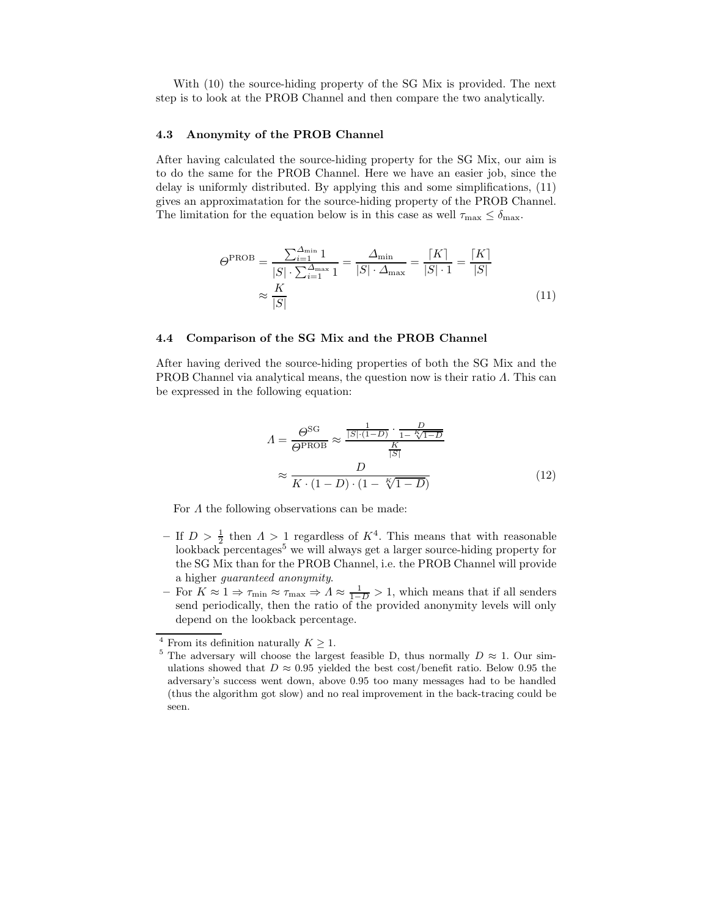With (10) the source-hiding property of the SG Mix is provided. The next step is to look at the PROB Channel and then compare the two analytically.

#### **4.3 Anonymity of the PROB Channel**

After having calculated the source-hiding property for the SG Mix, our aim is to do the same for the PROB Channel. Here we have an easier job, since the delay is uniformly distributed. By applying this and some simplifications, (11) gives an approximatation for the source-hiding property of the PROB Channel. The limitation for the equation below is in this case as well  $\tau_{\text{max}} \leq \delta_{\text{max}}$ .

$$
\Theta^{\text{PROB}} = \frac{\sum_{i=1}^{\Delta_{\min}} 1}{|S| \cdot \sum_{i=1}^{\Delta_{\max}} 1} = \frac{\Delta_{\min}}{|S| \cdot \Delta_{\max}} = \frac{|K|}{|S| \cdot 1} = \frac{|K|}{|S|}
$$

$$
\approx \frac{K}{|S|}
$$
(11)

## **4.4 Comparison of the SG Mix and the PROB Channel**

After having derived the source-hiding properties of both the SG Mix and the PROB Channel via analytical means, the question now is their ratio Λ. This can be expressed in the following equation:

$$
A = \frac{\Theta^{SG}}{\Theta^{PROB}} \approx \frac{\frac{1}{|S| \cdot (1-D)} \cdot \frac{D}{1-\frac{K}{\sqrt{1-D}}}}{\frac{K}{|S|}}
$$

$$
\approx \frac{D}{K \cdot (1-D) \cdot (1-\frac{K}{\sqrt{1-D}})}
$$
(12)

For  $\Lambda$  the following observations can be made:

- If  $D > \frac{1}{2}$  then  $\Lambda > 1$  regardless of  $K^4$ . This means that with reasonable lookback percentages<sup>5</sup> we will always get a larger source-hiding property for the SG Mix than for the PROB Channel, i.e. the PROB Channel will provide a higher *guaranteed anonymity*.
- $-$  For  $K \approx 1 \Rightarrow \tau_{\text{min}} \approx \tau_{\text{max}} \Rightarrow \Lambda \approx \frac{1}{1-D} > 1$ , which means that if all senders send periodically, then the ratio of the provided anonymity levels will only depend on the lookback percentage.

<sup>&</sup>lt;sup>4</sup> From its definition naturally  $K \ge 1$ .<br><sup>5</sup> The adversary will choose the largest feasible D, thus normally  $D \approx 1$ . Our simulations showed that  $D \approx 0.95$  yielded the best cost/benefit ratio. Below 0.95 the adversary's success went down, above 0.95 too many messages had to be handled (thus the algorithm got slow) and no real improvement in the back-tracing could be seen.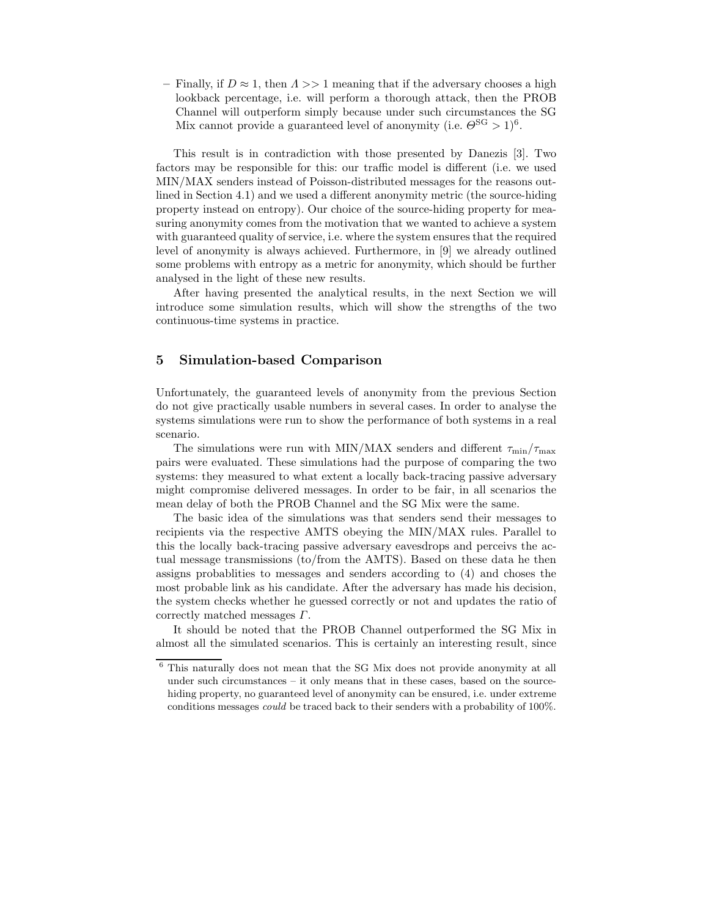$-$  Finally, if  $D \approx 1$ , then  $\Lambda >> 1$  meaning that if the adversary chooses a high lookback percentage, i.e. will perform a thorough attack, then the PROB Channel will outperform simply because under such circumstances the SG Mix cannot provide a guaranteed level of anonymity (i.e.  $\Theta^{\text{SG}} > 1)^6$ .

This result is in contradiction with those presented by Danezis [3]. Two factors may be responsible for this: our traffic model is different (i.e. we used MIN/MAX senders instead of Poisson-distributed messages for the reasons outlined in Section 4.1) and we used a different anonymity metric (the source-hiding property instead on entropy). Our choice of the source-hiding property for measuring anonymity comes from the motivation that we wanted to achieve a system with guaranteed quality of service, i.e. where the system ensures that the required level of anonymity is always achieved. Furthermore, in [9] we already outlined some problems with entropy as a metric for anonymity, which should be further analysed in the light of these new results.

After having presented the analytical results, in the next Section we will introduce some simulation results, which will show the strengths of the two continuous-time systems in practice.

# **5 Simulation-based Comparison**

Unfortunately, the guaranteed levels of anonymity from the previous Section do not give practically usable numbers in several cases. In order to analyse the systems simulations were run to show the performance of both systems in a real scenario.

The simulations were run with MIN/MAX senders and different  $\tau_{\rm min}/\tau_{\rm max}$ pairs were evaluated. These simulations had the purpose of comparing the two systems: they measured to what extent a locally back-tracing passive adversary might compromise delivered messages. In order to be fair, in all scenarios the mean delay of both the PROB Channel and the SG Mix were the same.

The basic idea of the simulations was that senders send their messages to recipients via the respective AMTS obeying the MIN/MAX rules. Parallel to this the locally back-tracing passive adversary eavesdrops and perceivs the actual message transmissions (to/from the AMTS). Based on these data he then assigns probablities to messages and senders according to (4) and choses the most probable link as his candidate. After the adversary has made his decision, the system checks whether he guessed correctly or not and updates the ratio of correctly matched messages Γ.

It should be noted that the PROB Channel outperformed the SG Mix in almost all the simulated scenarios. This is certainly an interesting result, since

 $^6$  This naturally does not mean that the SG Mix does not provide anonymity at all under such circumstances – it only means that in these cases, based on the sourcehiding property, no guaranteed level of anonymity can be ensured, i.e. under extreme conditions messages *could* be traced back to their senders with a probability of 100%.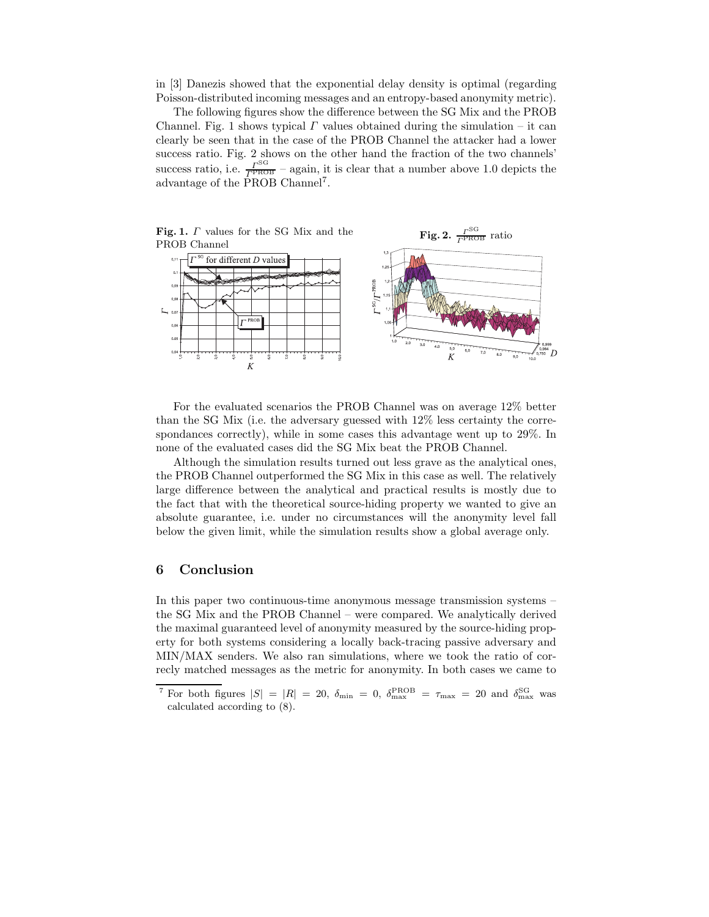in [3] Danezis showed that the exponential delay density is optimal (regarding Poisson-distributed incoming messages and an entropy-based anonymity metric).

The following figures show the difference between the SG Mix and the PROB Channel. Fig. 1 shows typical  $\Gamma$  values obtained during the simulation – it can clearly be seen that in the case of the PROB Channel the attacker had a lower success ratio. Fig. 2 shows on the other hand the fraction of the two channels' success ratio, i.e.  $\frac{\Gamma^{\text{SG}}}{\Gamma^{\text{PROB}}}$  – again, it is clear that a number above 1.0 depicts the advantage of the PROB Channel7.



For the evaluated scenarios the PROB Channel was on average 12% better than the SG Mix (i.e. the adversary guessed with 12% less certainty the correspondances correctly), while in some cases this advantage went up to 29%. In none of the evaluated cases did the SG Mix beat the PROB Channel.

Although the simulation results turned out less grave as the analytical ones, the PROB Channel outperformed the SG Mix in this case as well. The relatively large difference between the analytical and practical results is mostly due to the fact that with the theoretical source-hiding property we wanted to give an absolute guarantee, i.e. under no circumstances will the anonymity level fall below the given limit, while the simulation results show a global average only.

# **6 Conclusion**

In this paper two continuous-time anonymous message transmission systems – the SG Mix and the PROB Channel – were compared. We analytically derived the maximal guaranteed level of anonymity measured by the source-hiding property for both systems considering a locally back-tracing passive adversary and MIN/MAX senders. We also ran simulations, where we took the ratio of correcly matched messages as the metric for anonymity. In both cases we came to

<sup>&</sup>lt;sup>7</sup> For both figures  $|S| = |R| = 20$ ,  $\delta_{\min} = 0$ ,  $\delta_{\max}^{\text{PROB}} = \tau_{\max} = 20$  and  $\delta_{\max}^{\text{SG}}$  was calculated according to (8).